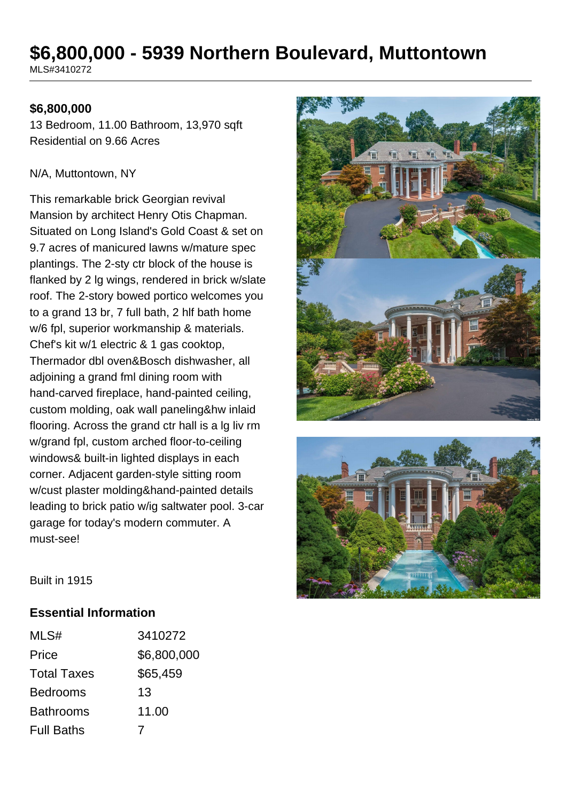# **\$6,800,000 - 5939 Northern Boulevard, Muttontown**

MLS#3410272

#### **\$6,800,000**

13 Bedroom, 11.00 Bathroom, 13,970 sqft Residential on 9.66 Acres

#### N/A, Muttontown, NY

This remarkable brick Georgian revival Mansion by architect Henry Otis Chapman. Situated on Long Island's Gold Coast & set on 9.7 acres of manicured lawns w/mature spec plantings. The 2-sty ctr block of the house is flanked by 2 lg wings, rendered in brick w/slate roof. The 2-story bowed portico welcomes you to a grand 13 br, 7 full bath, 2 hlf bath home w/6 fpl, superior workmanship & materials. Chef's kit w/1 electric & 1 gas cooktop, Thermador dbl oven&Bosch dishwasher, all adjoining a grand fml dining room with hand-carved fireplace, hand-painted ceiling, custom molding, oak wall paneling&hw inlaid flooring. Across the grand ctr hall is a lg liv rm w/grand fpl, custom arched floor-to-ceiling windows& built-in lighted displays in each corner. Adjacent garden-style sitting room w/cust plaster molding&hand-painted details leading to brick patio w/ig saltwater pool. 3-car garage for today's modern commuter. A must-see!





Built in 1915

#### **Essential Information**

| MLS#               | 3410272     |
|--------------------|-------------|
| Price              | \$6,800,000 |
| <b>Total Taxes</b> | \$65,459    |
| <b>Bedrooms</b>    | 13          |
| <b>Bathrooms</b>   | 11.00       |
| <b>Full Baths</b>  |             |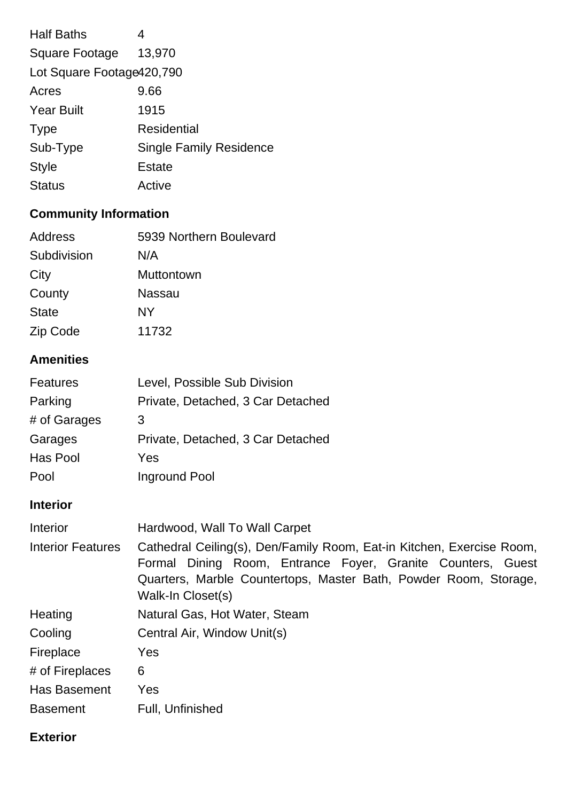| <b>Half Baths</b>          | 4                              |  |
|----------------------------|--------------------------------|--|
| Square Footage             | 13,970                         |  |
| Lot Square Footage 420,790 |                                |  |
| Acres                      | 9.66                           |  |
| <b>Year Built</b>          | 1915                           |  |
| <b>Type</b>                | Residential                    |  |
| Sub-Type                   | <b>Single Family Residence</b> |  |
| <b>Style</b>               | Estate                         |  |
| <b>Status</b>              | Active                         |  |
|                            |                                |  |

# **Community Information**

| 5939 Northern Boulevard |
|-------------------------|
| N/A                     |
| Muttontown              |
| Nassau                  |
| NY                      |
| 11732                   |
|                         |

# **Amenities**

| <b>Features</b> | Level, Possible Sub Division      |
|-----------------|-----------------------------------|
| Parking         | Private, Detached, 3 Car Detached |
| # of Garages    | 3                                 |
| Garages         | Private, Detached, 3 Car Detached |
| Has Pool        | Yes                               |
| Pool            | Inground Pool                     |

# **Interior**

| Interior                 | Hardwood, Wall To Wall Carpet                                                                                                                                                                                                 |
|--------------------------|-------------------------------------------------------------------------------------------------------------------------------------------------------------------------------------------------------------------------------|
| <b>Interior Features</b> | Cathedral Ceiling(s), Den/Family Room, Eat-in Kitchen, Exercise Room,<br>Formal Dining Room, Entrance Foyer, Granite Counters, Guest<br>Quarters, Marble Countertops, Master Bath, Powder Room, Storage,<br>Walk-In Closet(s) |
| Heating                  | Natural Gas, Hot Water, Steam                                                                                                                                                                                                 |
| Cooling                  | Central Air, Window Unit(s)                                                                                                                                                                                                   |
| Fireplace                | Yes                                                                                                                                                                                                                           |
| # of Fireplaces          | 6                                                                                                                                                                                                                             |
| <b>Has Basement</b>      | Yes                                                                                                                                                                                                                           |
| <b>Basement</b>          | Full, Unfinished                                                                                                                                                                                                              |

## **Exterior**